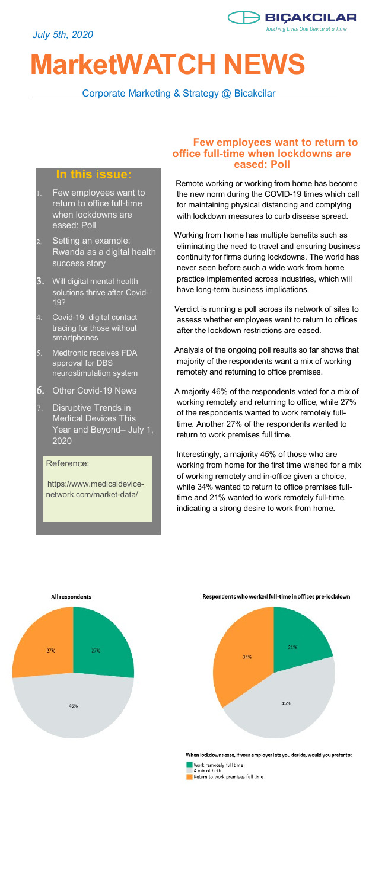

# **MarketWATCH NEWS**

Corporate Marketing & Strategy @ Bicakcilar

#### **In this issue:**

- Few employees want to return to office full-time when lockdowns are eased: Poll
- 2. Setting an example: Rwanda as a digital health success story
- Will digital mental health solutions thrive after Covid-19?
- Covid-19: digital contact tracing for those without smartphones
- 5. Medtronic receives FDA approval for DBS neurostimulation system
- 6. Other Covid-19 News
- 7. Disruptive Trends in Medical Devices This Year and Beyond– July 1, 2020

Reference:

https://www.medicaldevicenetwork.com/market-data/

#### **Few employees want to return to office full-time when lockdowns are eased: Poll**

 Remote working or working from home has become the new norm during the COVID-19 times which call for maintaining physical distancing and complying with lockdown measures to curb disease spread.

- Working from home has multiple benefits such as eliminating the need to travel and ensuring business continuity for firms during lockdowns. The world has never seen before such a wide work from home practice implemented across industries, which will have long-term business implications.
- Verdict is running a poll across its network of sites to assess whether employees want to return to offices after the lockdown restrictions are eased.
- Analysis of the ongoing poll results so far shows that majority of the respondents want a mix of working remotely and returning to office premises.
- A majority 46% of the respondents voted for a mix of working remotely and returning to office, while 27% of the respondents wanted to work remotely fulltime. Another 27% of the respondents wanted to return to work premises full time.

 Interestingly, a majority 45% of those who are working from home for the first time wished for a mix of working remotely and in-office given a choice, while 34% wanted to return to office premises fulltime and 21% wanted to work remotely full-time, indicating a strong desire to work from home.



Respondents who worked full-time in offices pre-lockdown



When lockdowns ease, if your employer lets you decide, would you prefer to: Work remotely full time<br>A mix of both<br>Return to work premises full time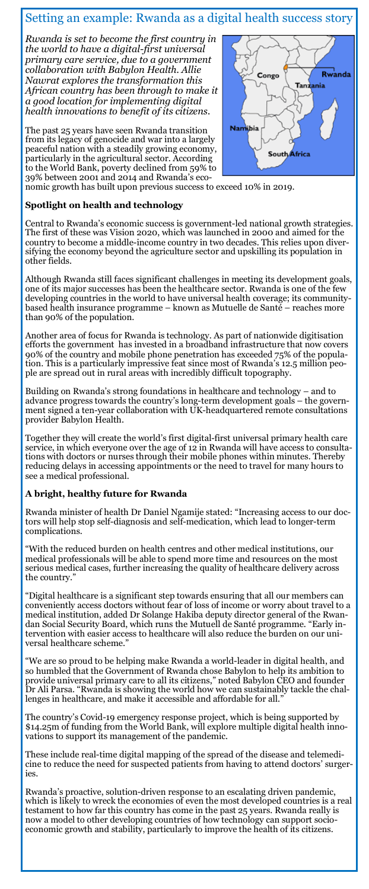# Setting an example: Rwanda as a digital health success story

*Rwanda is set to become the first country in the world to have a digital-first universal primary care service, due to a government collaboration with Babylon Health. Allie Nawrat explores the transformation this African country has been through to make it a good location for implementing digital health innovations to benefit of its citizens.* 

The past 25 years have seen Rwanda transition from its legacy of genocide and war into a largely peaceful nation with a steadily growing economy, particularly in the agricultural sector. According to the World Bank, poverty declined from 59% to 39% between 2001 and 2014 and Rwanda's eco-



nomic growth has built upon previous success to exceed 10% in 2019.

#### **Spotlight on health and technology**

Central to Rwanda's economic success is government-led national growth strategies. The first of these was Vision 2020, which was launched in 2000 and aimed for the country to become a middle-income country in two decades. This relies upon diversifying the economy beyond the agriculture sector and upskilling its population in other fields.

Although Rwanda still faces significant challenges in meeting its development goals, one of its major successes has been the healthcare sector. Rwanda is one of the few developing countries in the world to have universal health coverage; its communitybased health insurance programme – known as Mutuelle de Santé – reaches more than 90% of the population.

Another area of focus for Rwanda is technology. As part of nationwide digitisation efforts the government has invested in a broadband infrastructure that now covers 90% of the country and mobile phone penetration has exceeded 75% of the population. This is a particularly impressive feat since most of Rwanda's 12.5 million people are spread out in rural areas with incredibly difficult topography.

Building on Rwanda's strong foundations in healthcare and technology – and to advance progress towards the country's long-term development goals – the government signed a ten-year collaboration with UK-headquartered remote consultations provider Babylon Health.

Together they will create the world's first digital-first universal primary health care service, in which everyone over the age of 12 in Rwanda will have access to consultations with doctors or nurses through their mobile phones within minutes. Thereby reducing delays in accessing appointments or the need to travel for many hours to see a medical professional.

#### **A bright, healthy future for Rwanda**

Rwanda minister of health Dr Daniel Ngamije stated: "Increasing access to our doctors will help stop self-diagnosis and self-medication, which lead to longer-term complications.

"With the reduced burden on health centres and other medical institutions, our medical professionals will be able to spend more time and resources on the most serious medical cases, further increasing the quality of healthcare delivery across the country."

"Digital healthcare is a significant step towards ensuring that all our members can conveniently access doctors without fear of loss of income or worry about travel to a medical institution, added Dr Solange Hakiba deputy director general of the Rwandan Social Security Board, which runs the Mutuell de Santé programme. "Early intervention with easier access to healthcare will also reduce the burden on our universal healthcare scheme."

"We are so proud to be helping make Rwanda a world-leader in digital health, and so humbled that the Government of Rwanda chose Babylon to help its ambition to provide universal primary care to all its citizens," noted Babylon CEO and founder Dr Ali Parsa. "Rwanda is showing the world how we can sustainably tackle the challenges in healthcare, and make it accessible and affordable for all.'

The country's Covid-19 emergency response project, which is being supported by \$14.25m of funding from the World Bank, will explore multiple digital health innovations to support its management of the pandemic.

These include real-time digital mapping of the spread of the disease and telemedicine to reduce the need for suspected patients from having to attend doctors' surgeries.

Rwanda's proactive, solution-driven response to an escalating driven pandemic, which is likely to wreck the economies of even the most developed countries is a real testament to how far this country has come in the past 25 years. Rwanda really is now a model to other developing countries of how technology can support socioeconomic growth and stability, particularly to improve the health of its citizens.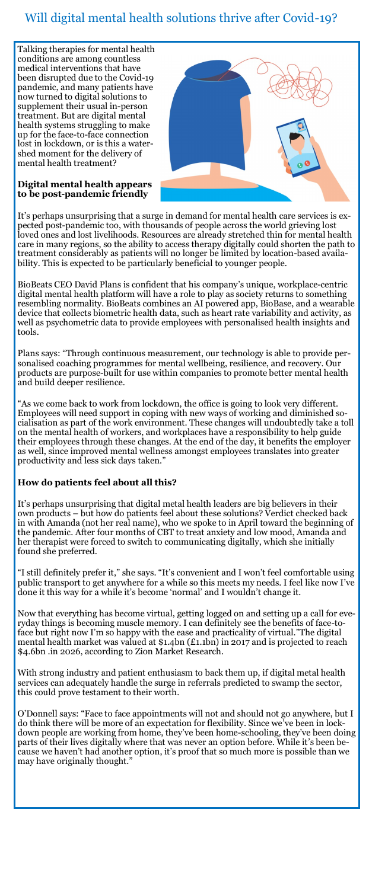# Will digital mental health solutions thrive after Covid-19?

Talking therapies for mental health conditions are among countless medical interventions that have been disrupted due to the Covid-19 pandemic, and many patients have now turned to digital solutions to supplement their usual in-person treatment. But are digital mental health systems struggling to make up for the face-to-face connection lost in lockdown, or is this a watershed moment for the delivery of mental health treatment?



#### **Digital mental health appears to be post-pandemic friendly**

It's perhaps unsurprising that a surge in demand for mental health care services is expected post-pandemic too, with thousands of people across the world grieving lost loved ones and lost livelihoods. Resources are already stretched thin for mental health care in many regions, so the ability to access therapy digitally could shorten the path to treatment considerably as patients will no longer be limited by location-based availability. This is expected to be particularly beneficial to younger people.

BioBeats CEO David Plans is confident that his company's unique, workplace-centric digital mental health platform will have a role to play as society returns to something resembling normality. BioBeats combines an AI powered app, BioBase, and a wearable device that collects biometric health data, such as heart rate variability and activity, as well as psychometric data to provide employees with personalised health insights and tools.

Plans says: "Through continuous measurement, our technology is able to provide personalised coaching programmes for mental wellbeing, resilience, and recovery. Our products are purpose-built for use within companies to promote better mental health and build deeper resilience.

As we come back to work from lockdown, the office is going to look very different. Employees will need support in coping with new ways of working and diminished socialisation as part of the work environment. These changes will undoubtedly take a toll on the mental health of workers, and workplaces have a responsibility to help guide their employees through these changes. At the end of the day, it benefits the employer as well, since improved mental wellness amongst employees translates into greater productivity and less sick days taken."

## **How do patients feel about all this?**

It's perhaps unsurprising that digital metal health leaders are big believers in their own products – but how do patients feel about these solutions? Verdict checked back in with Amanda (not her real name), who we spoke to in April toward the beginning of the pandemic. After four months of CBT to treat anxiety and low mood, Amanda and her therapist were forced to switch to communicating digitally, which she initially found she preferred.

"I still definitely prefer it," she says. "It's convenient and I won't feel comfortable using public transport to get anywhere for a while so this meets my needs. I feel like now I've done it this way for a while it's become 'normal' and I wouldn't change it.

Now that everything has become virtual, getting logged on and setting up a call for everyday things is becoming muscle memory. I can definitely see the benefits of face-toface but right now I'm so happy with the ease and practicality of virtual."The digital mental health market was valued at \$1.4bn (£1.1bn) in 2017 and is projected to reach \$4.6bn .in 2026, according to Zion Market Research.

With strong industry and patient enthusiasm to back them up, if digital metal health services can adequately handle the surge in referrals predicted to swamp the sector, this could prove testament to their worth.

O'Donnell says: "Face to face appointments will not and should not go anywhere, but I do think there will be more of an expectation for flexibility. Since we've been in lockdown people are working from home, they've been home-schooling, they've been doing parts of their lives digitally where that was never an option before. While it's been because we haven't had another option, it's proof that so much more is possible than we may have originally thought."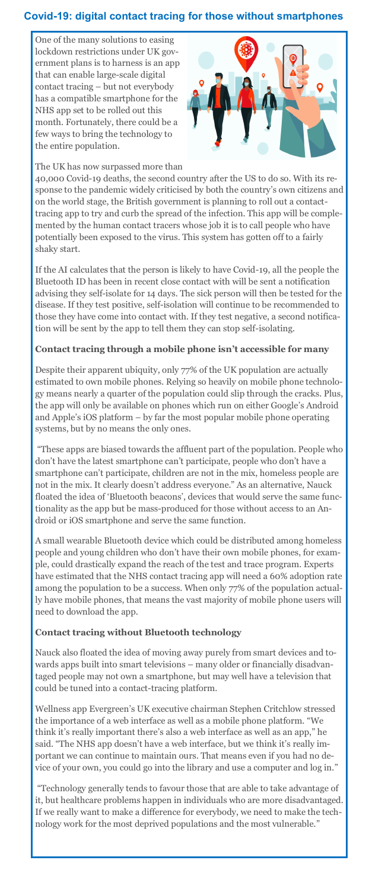## **Covid-19: digital contact tracing for those without smartphones**

One of the many solutions to easing lockdown restrictions under UK government plans is to harness is an app that can enable large-scale digital contact tracing – but not everybody has a compatible smartphone for the NHS app set to be rolled out this month. Fortunately, there could be a few ways to bring the technology to the entire population.



#### The UK has now surpassed more than

40,000 Covid-19 deaths, the second country after the US to do so. With its response to the pandemic widely criticised by both the country's own citizens and on the world stage, the British government is planning to roll out a contacttracing app to try and curb the spread of the infection. This app will be complemented by the human contact tracers whose job it is to call people who have potentially been exposed to the virus. This system has gotten off to a fairly shaky start.

If the AI calculates that the person is likely to have Covid-19, all the people the Bluetooth ID has been in recent close contact with will be sent a notification advising they self-isolate for 14 days. The sick person will then be tested for the disease. If they test positive, self-isolation will continue to be recommended to those they have come into contact with. If they test negative, a second notification will be sent by the app to tell them they can stop self-isolating.

#### **Contact tracing through a mobile phone isn't accessible for many**

Despite their apparent ubiquity, only 77% of the UK population are actually estimated to own mobile phones. Relying so heavily on mobile phone technology means nearly a quarter of the population could slip through the cracks. Plus, the app will only be available on phones which run on either Google's Android and Apple's iOS platform – by far the most popular mobile phone operating systems, but by no means the only ones.

"These apps are biased towards the affluent part of the population. People who don't have the latest smartphone can't participate, people who don't have a smartphone can't participate, children are not in the mix, homeless people are not in the mix. It clearly doesn't address everyone." As an alternative, Nauck floated the idea of 'Bluetooth beacons', devices that would serve the same functionality as the app but be mass-produced for those without access to an Android or iOS smartphone and serve the same function.

A small wearable Bluetooth device which could be distributed among homeless people and young children who don't have their own mobile phones, for example, could drastically expand the reach of the test and trace program. Experts have estimated that the NHS contact tracing app will need a 60% adoption rate among the population to be a success. When only 77% of the population actually have mobile phones, that means the vast majority of mobile phone users will need to download the app.

#### **Contact tracing without Bluetooth technology**

Nauck also floated the idea of moving away purely from smart devices and towards apps built into smart televisions – many older or financially disadvantaged people may not own a smartphone, but may well have a television that could be tuned into a contact-tracing platform.

Wellness app Evergreen's UK executive chairman Stephen Critchlow stressed the importance of a web interface as well as a mobile phone platform. "We think it's really important there's also a web interface as well as an app," he said. "The NHS app doesn't have a web interface, but we think it's really important we can continue to maintain ours. That means even if you had no device of your own, you could go into the library and use a computer and log in."

"Technology generally tends to favour those that are able to take advantage of it, but healthcare problems happen in individuals who are more disadvantaged. If we really want to make a difference for everybody, we need to make the technology work for the most deprived populations and the most vulnerable."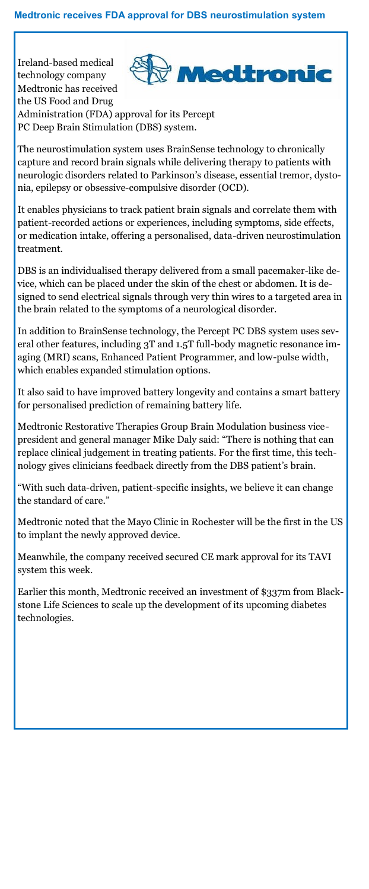Ireland-based medical Medtronic technology company Medtronic has received the US Food and Drug Administration (FDA) approval for its Percept PC Deep Brain Stimulation (DBS) system.

The neurostimulation system uses BrainSense technology to chronically capture and record brain signals while delivering therapy to patients with neurologic disorders related to Parkinson's disease, essential tremor, dystonia, epilepsy or obsessive-compulsive disorder (OCD).

It enables physicians to track patient brain signals and correlate them with patient-recorded actions or experiences, including symptoms, side effects, or medication intake, offering a personalised, data-driven neurostimulation treatment.

DBS is an individualised therapy delivered from a small pacemaker-like device, which can be placed under the skin of the chest or abdomen. It is designed to send electrical signals through very thin wires to a targeted area in the brain related to the symptoms of a neurological disorder.

In addition to BrainSense technology, the Percept PC DBS system uses several other features, including 3T and 1.5T full-body magnetic resonance imaging (MRI) scans, Enhanced Patient Programmer, and low-pulse width, which enables expanded stimulation options.

It also said to have improved battery longevity and contains a smart battery for personalised prediction of remaining battery life.

Medtronic Restorative Therapies Group Brain Modulation business vicepresident and general manager Mike Daly said: "There is nothing that can replace clinical judgement in treating patients. For the first time, this technology gives clinicians feedback directly from the DBS patient's brain.

"With such data-driven, patient-specific insights, we believe it can change the standard of care."

Medtronic noted that the Mayo Clinic in Rochester will be the first in the US to implant the newly approved device.

Meanwhile, the company received secured CE mark approval for its TAVI system this week.

Earlier this month, Medtronic received an investment of \$337m from Blackstone Life Sciences to scale up the development of its upcoming diabetes technologies.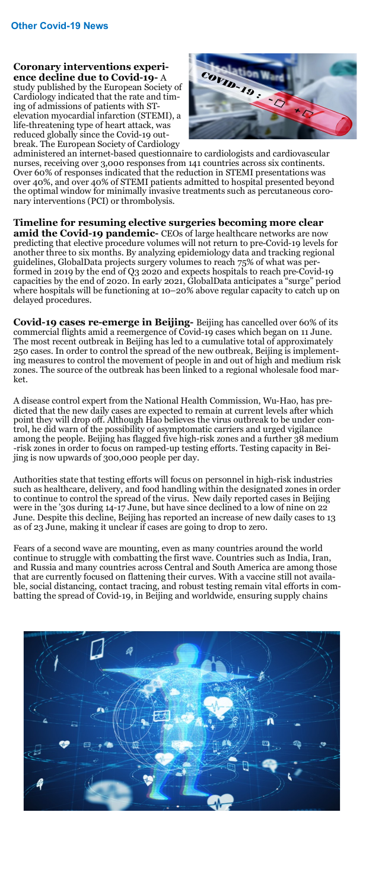**Coronary interventions experience decline due to Covid-19-** A study published by the European Society of Cardiology indicated that the rate and timing of admissions of patients with STelevation myocardial infarction (STEMI), a life-threatening type of heart attack, was reduced globally since the Covid-19 outbreak. The European Society of Cardiology



administered an internet-based questionnaire to cardiologists and cardiovascular nurses, receiving over 3,000 responses from 141 countries across six continents. Over 60% of responses indicated that the reduction in STEMI presentations was over 40%, and over 40% of STEMI patients admitted to hospital presented beyond the optimal window for minimally invasive treatments such as percutaneous coronary interventions (PCI) or thrombolysis.

**Timeline for resuming elective surgeries becoming more clear amid the Covid-19 pandemic-** CEOs of large healthcare networks are now predicting that elective procedure volumes will not return to pre-Covid-19 levels for another three to six months. By analyzing epidemiology data and tracking regional guidelines, GlobalData projects surgery volumes to reach 75% of what was performed in 2019 by the end of Q3 2020 and expects hospitals to reach pre-Covid-19 capacities by the end of 2020. In early 2021, GlobalData anticipates a "surge" period where hospitals will be functioning at 10–20% above regular capacity to catch up on delayed procedures.

**Covid-19 cases re-emerge in Beijing-** Beijing has cancelled over 60% of its commercial flights amid a reemergence of Covid-19 cases which began on 11 June. The most recent outbreak in Beijing has led to a cumulative total of approximately 250 cases. In order to control the spread of the new outbreak, Beijing is implementing measures to control the movement of people in and out of high and medium risk zones. The source of the outbreak has been linked to a regional wholesale food market.

A disease control expert from the National Health Commission, Wu-Hao, has predicted that the new daily cases are expected to remain at current levels after which point they will drop off. Although Hao believes the virus outbreak to be under control, he did warn of the possibility of asymptomatic carriers and urged vigilance among the people. Beijing has flagged five high-risk zones and a further 38 medium -risk zones in order to focus on ramped-up testing efforts. Testing capacity in Beijing is now upwards of 300,000 people per day.

Authorities state that testing efforts will focus on personnel in high-risk industries such as healthcare, delivery, and food handling within the designated zones in order to continue to control the spread of the virus. New daily reported cases in Beijing were in the '30s during 14-17 June, but have since declined to a low of nine on 22 June. Despite this decline, Beijing has reported an increase of new daily cases to 13 as of 23 June, making it unclear if cases are going to drop to zero.

Fears of a second wave are mounting, even as many countries around the world continue to struggle with combatting the first wave. Countries such as India, Iran, and Russia and many countries across Central and South America are among those that are currently focused on flattening their curves. With a vaccine still not available, social distancing, contact tracing, and robust testing remain vital efforts in combatting the spread of Covid-19, in Beijing and worldwide, ensuring supply chains